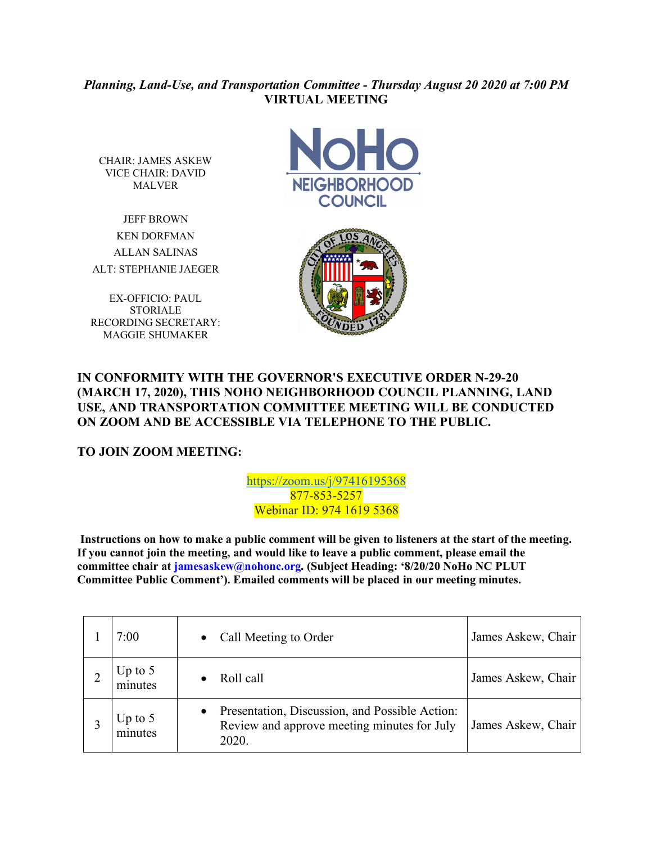## *Planning, Land-Use, and Transportation Committee - Thursday August 20 2020 at 7:00 PM* **VIRTUAL MEETING**

CHAIR: JAMES ASKEW VICE CHAIR: DAVID MALVER

JEFF BROWN KEN DORFMAN ALLAN SALINAS ALT: STEPHANIE JAEGER

EX-OFFICIO: PAUL **STORIALE** RECORDING SECRETARY: MAGGIE SHUMAKER





## **IN CONFORMITY WITH THE GOVERNOR'S EXECUTIVE ORDER N-29-20 (MARCH 17, 2020), THIS NOHO NEIGHBORHOOD COUNCIL PLANNING, LAND USE, AND TRANSPORTATION COMMITTEE MEETING WILL BE CONDUCTED ON ZOOM AND BE ACCESSIBLE VIA TELEPHONE TO THE PUBLIC.**

## **TO JOIN ZOOM MEETING:**

https://zoom.us/j/97416195368 877-853-5257 Webinar ID: 974 1619 5368

**Instructions on how to make a public comment will be given to listeners at the start of the meeting. If you cannot join the meeting, and would like to leave a public comment, please email the committee chair at jamesaskew@nohonc.org. (Subject Heading: '8/20/20 NoHo NC PLUT Committee Public Comment'). Emailed comments will be placed in our meeting minutes.** 

| 7:00                 | Call Meeting to Order                                                                                               | James Askew, Chair |
|----------------------|---------------------------------------------------------------------------------------------------------------------|--------------------|
| $Jp$ to 5<br>minutes | Roll call                                                                                                           | James Askew, Chair |
| Up to $5$<br>minutes | Presentation, Discussion, and Possible Action:<br>$\bullet$<br>Review and approve meeting minutes for July<br>2020. | James Askew, Chair |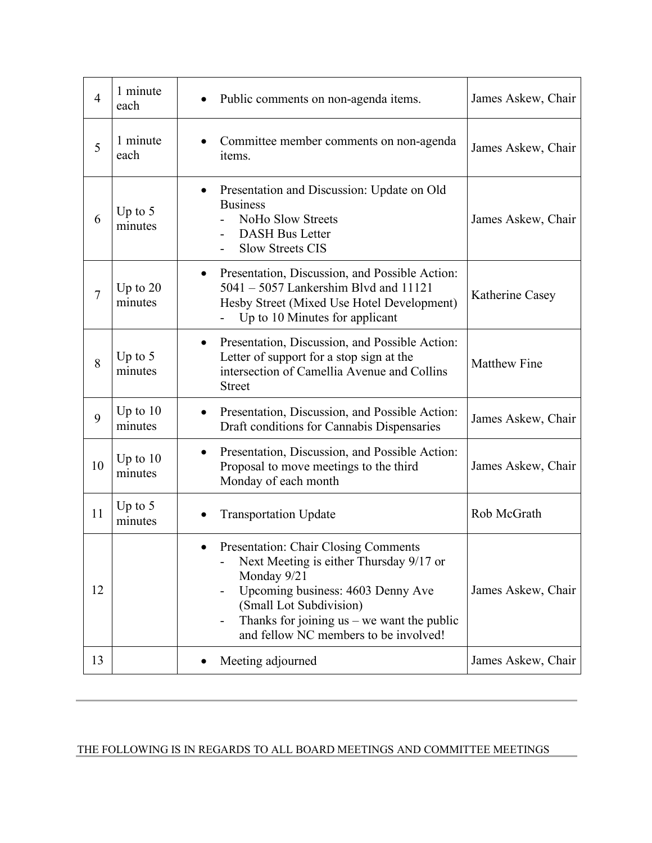| $\overline{4}$ | 1 minute<br>each      | Public comments on non-agenda items.                                                                                                                                                                                                                    | James Askew, Chair  |
|----------------|-----------------------|---------------------------------------------------------------------------------------------------------------------------------------------------------------------------------------------------------------------------------------------------------|---------------------|
| 5              | 1 minute<br>each      | Committee member comments on non-agenda<br>items.                                                                                                                                                                                                       | James Askew, Chair  |
| 6              | Up to $5$<br>minutes  | Presentation and Discussion: Update on Old<br>$\bullet$<br><b>Business</b><br>NoHo Slow Streets<br><b>DASH Bus Letter</b><br>$\overline{\phantom{0}}$<br><b>Slow Streets CIS</b>                                                                        | James Askew, Chair  |
| $\overline{7}$ | Up to $20$<br>minutes | Presentation, Discussion, and Possible Action:<br>$\bullet$<br>$5041 - 5057$ Lankershim Blvd and 11121<br>Hesby Street (Mixed Use Hotel Development)<br>Up to 10 Minutes for applicant                                                                  | Katherine Casey     |
| 8              | Up to $5$<br>minutes  | Presentation, Discussion, and Possible Action:<br>$\bullet$<br>Letter of support for a stop sign at the<br>intersection of Camellia Avenue and Collins<br><b>Street</b>                                                                                 | <b>Matthew Fine</b> |
| 9              | Up to $10$<br>minutes | Presentation, Discussion, and Possible Action:<br>Draft conditions for Cannabis Dispensaries                                                                                                                                                            | James Askew, Chair  |
| 10             | Up to $10$<br>minutes | Presentation, Discussion, and Possible Action:<br>$\bullet$<br>Proposal to move meetings to the third<br>Monday of each month                                                                                                                           | James Askew, Chair  |
| 11             | Up to $5$<br>minutes  | <b>Transportation Update</b>                                                                                                                                                                                                                            | Rob McGrath         |
| 12             |                       | Presentation: Chair Closing Comments<br>Next Meeting is either Thursday 9/17 or<br>Monday 9/21<br>Upcoming business: 4603 Denny Ave<br>(Small Lot Subdivision)<br>Thanks for joining $us - we$ want the public<br>and fellow NC members to be involved! | James Askew, Chair  |
| 13             |                       | Meeting adjourned                                                                                                                                                                                                                                       | James Askew, Chair  |

## THE FOLLOWING IS IN REGARDS TO ALL BOARD MEETINGS AND COMMITTEE MEETINGS